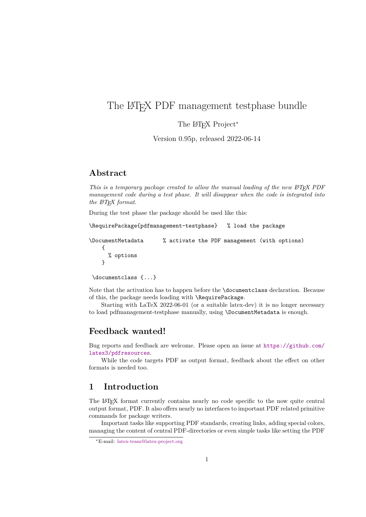# <span id="page-0-0"></span>The LAT<sub>EX</sub> PDF management testphase bundle

The L<sup>AT</sup>EX Project<sup>\*</sup>

Version 0.95p, released 2022-06-14

# **Abstract**

*This is a temporary package created to allow the manual loading of the new L<sup><i>A*</sup><sub>TE</sub>X PDF *management code during a test phase. It will disappear when the code is integrated into the LATEX format.*

During the test phase the package should be used like this:

\RequirePackage{pdfmanagement-testphase} % load the package

\DocumentMetadata % activate the PDF management (with options) { % options }

\documentclass {...}

Note that the activation has to happen before the \documentclass declaration. Because of this, the package needs loading with \RequirePackage.

Starting with LaTeX 2022-06-01 (or a suitable latex-dev) it is no longer necessary to load pdfmanagement-testphase manually, using \DocumentMetadata is enough.

# **Feedback wanted!**

Bug reports and feedback are welcome. Please open an issue at [https://github.com/](https://github.com/latex3/pdfresources) [latex3/pdfresources](https://github.com/latex3/pdfresources).

While the code targets PDF as output format, feedback about the effect on other formats is needed too.

# **1 Introduction**

The LATEX format currently contains nearly no code specific to the now quite central output format, PDF. It also offers nearly no interfaces to important PDF related primitive commands for package writers.

Important tasks like supporting PDF standards, creating links, adding special colors, managing the content of central PDF-directories or even simple tasks like setting the PDF

<sup>∗</sup>E-mail: [latex-team@latex-project.org](mailto:latex-team@latex-project.org)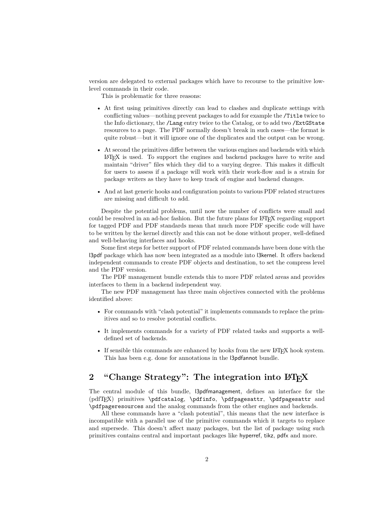<span id="page-1-1"></span>version are delegated to external packages which have to recourse to the primitive lowlevel commands in their code.

This is problematic for three reasons:

- At first using primitives directly can lead to clashes and duplicate settings with conflicting values—nothing prevent packages to add for example the /Title twice to the Info dictionary, the /Lang entry twice to the Catalog, or to add two /ExtGState resources to a page. The PDF normally doesn't break in such cases—the format is quite robust—but it will ignore one of the duplicates and the output can be wrong.
- At second the primitives differ between the various engines and backends with which LATEX is used. To support the engines and backend packages have to write and maintain "driver" files which they did to a varying degree. This makes it difficult for users to assess if a package will work with their work-flow and is a strain for package writers as they have to keep track of engine and backend changes.
- And at last generic hooks and configuration points to various PDF related structures are missing and difficult to add.

Despite the potential problems, until now the number of conflicts were small and could be resolved in an ad-hoc fashion. But the future plans for LATEX regarding support for tagged PDF and PDF standards mean that much more PDF specific code will have to be written by the kernel directly and this can not be done without proper, well-defined and well-behaving interfaces and hooks.

Some first steps for better support of PDF related commands have been done with the l3pdf package which has now been integrated as a module into l3kernel. It offers backend independent commands to create PDF objects and destination, to set the compress level and the PDF version.

The PDF management bundle extends this to more PDF related areas and provides interfaces to them in a backend independent way.

The new PDF management has three main objectives connected with the problems identified above:

- For commands with "clash potential" it implements commands to replace the primitives and so to resolve potential conflicts.
- It implements commands for a variety of PDF related tasks and supports a welldefined set of backends.
- If sensible this commands are enhanced by hooks from the new L<sup>AT</sup>EX hook system. This has been e.g. done for annotations in the l3pdfannot bundle.

# <span id="page-1-0"></span>2 "Change Strategy": The integration into  $\text{MT}_F X$

The central module of this bundle, l3pdfmanagement, defines an interface for the (pdfTEX) primitives \pdfcatalog, \pdfinfo, \pdfpagesattr, \pdfpagesattr and \pdfpageresources and the analog commands from the other engines and backends.

All these commands have a "clash potential", this means that the new interface is incompatible with a parallel use of the primitive commands which it targets to replace and supersede. This doesn't affect many packages, but the list of package using such primitives contains central and important packages like hyperref, tikz, pdfx and more.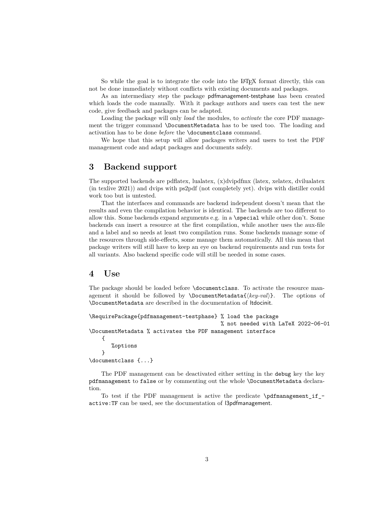<span id="page-2-0"></span>So while the goal is to integrate the code into the LAT<sub>EX</sub> format directly, this can not be done immediately without conflicts with existing documents and packages.

As an intermediary step the package pdfmanagement-testphase has been created which loads the code manually. With it package authors and users can test the new code, give feedback and packages can be adapted.

Loading the package will only *load* the modules, to *activate* the core PDF management the trigger command \DocumentMetadata has to be used too. The loading and activation has to be done *before* the \documentclass command.

We hope that this setup will allow packages writers and users to test the PDF management code and adapt packages and documents safely.

# **3 Backend support**

The supported backends are pdflatex, lualatex, (x)dvipdfmx (latex, xelatex, dvilualatex (in texlive 2021)) and dvips with ps2pdf (not completely yet). dvips with distiller could work too but is untested.

That the interfaces and commands are backend independent doesn't mean that the results and even the compilation behavior is identical. The backends are too different to allow this. Some backends expand arguments e.g. in a \special while other don't. Some backends can insert a resource at the first compilation, while another uses the aux-file and a label and so needs at least two compilation runs. Some backends manage some of the resources through side-effects, some manage them automatically. All this mean that package writers will still have to keep an eye on backend requirements and run tests for all variants. Also backend specific code will still be needed in some cases.

## **4 Use**

The package should be loaded before \documentclass. To activate the resource management it should be followed by \DocumentMetadata{⟨*key-val*⟩}. The options of \DocumentMetadata are described in the documentation of ltdocinit.

\RequirePackage{pdfmanagement-testphase} % load the package

% not needed with LaTeX 2022-06-01 \DocumentMetadata % activates the PDF management interface

{ %options }

\documentclass {...}

The PDF management can be deactivated either setting in the debug key the key pdfmanagement to false or by commenting out the whole \DocumentMetadata declaration.

To test if the PDF management is active the predicate \pdfmanagement\_if\_ active:TF can be used, see the documentation of l3pdfmanagement.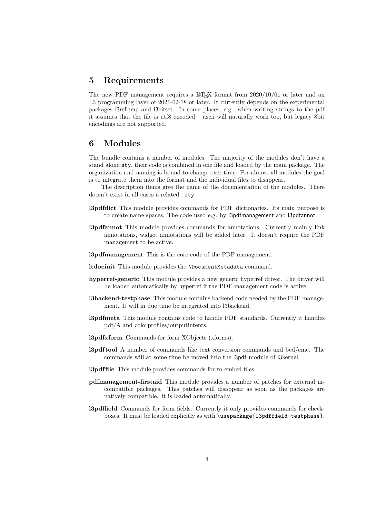# **5 Requirements**

The new PDF management requires a  $IAT$ <sub>F</sub>X format from  $2020/10/01$  or later and an L3 programming layer of 2021-02-18 or later. It currently depends on the experimental packages l3ref-tmp and l3bitset. In some places, e.g. when writing strings to the pdf it assumes that the file is utf8 encoded – ascii will naturally work too, but legacy 8bit encodings are not supported.

# **6 Modules**

The bundle contains a number of modules. The majority of the modules don't have a stand alone sty, their code is combined in one file and loaded by the main package. The organization and naming is bound to change over time: For almost all modules the goal is to integrate them into the format and the individual files to disappear.

The description items give the name of the documentation of the modules. There doesn't exist in all cases a related .sty.

- **l3pdfdict** This module provides commands for PDF dictionaries. Its main purpose is to create name spaces. The code used e.g. by l3pdfmanagement and l3pdfannot.
- **l3pdfannot** This module provides commands for annotations. Currently mainly link annotations, widget annotations will be added later. It doesn't require the PDF management to be active.
- **l3pdfmanagement** This is the core code of the PDF management.
- **ltdocinit** This module provides the \DocumentMetadata command.
- **hyperref-generic** This module provides a new generic hyperref driver. The driver will be loaded automatically by hyperref if the PDF management code is active.
- **l3backend-testphase** This module contains backend code needed by the PDF management. It will in due time be integrated into l3backend.
- **l3pdfmeta** This module contains code to handle PDF standards. Currently it handles pdf/A and colorprofiles/outputintents.
- **l3pdfxform** Commands for form XObjects (xforms).
- **l3pdf tool** A number of commands like text conversion commands and bcd/emc. The commands will at some time be moved into the l3pdf module of l3kernel.
- **l3pdffile** This module provides commands for to embed files.
- **pdfmanagement-firstaid** This module provides a number of patches for external incompatible packages. This patches will disappear as soon as the packages are natively compatible. It is loaded automatically.
- **l3pdffield** Commands for form fields. Currently it only provides commands for checkboxes. It must be loaded explicitly as with \usepackage{l3pdffield-testphase}.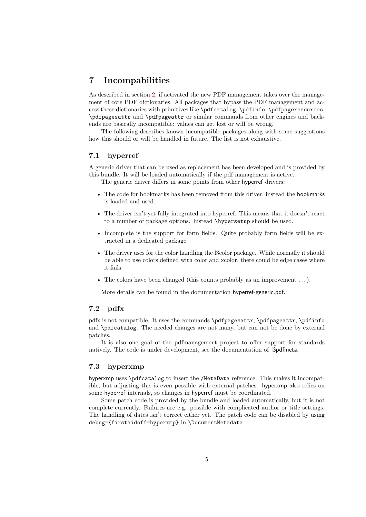# <span id="page-4-0"></span>**7 Incompabilities**

As described in section [2,](#page-1-0) if activated the new PDF management takes over the management of core PDF dictionaries. All packages that bypass the PDF management and access these dictionaries with primitives like \pdfcatalog, \pdfinfo, \pdfpageresources, \pdfpagesattr and \pdfpageattr or similar commands from other engines and backends are basically incompatible: values can get lost or will be wrong.

The following describes known incompatible packages along with some suggestions how this should or will be handled in future. The list is not exhaustive.

#### **7.1 hyperref**

A generic driver that can be used as replacement has been developed and is provided by this bundle. It will be loaded automatically if the pdf management is active.

The generic driver differs in some points from other hyperref drivers:

- The code for bookmarks has been removed from this driver, instead the bookmarks is loaded and used.
- The driver isn't yet fully integrated into hyperref. This means that it doesn't react to a number of package options. Instead \hypersetup should be used.
- Incomplete is the support for form fields. Quite probably form fields will be extracted in a dedicated package.
- The driver uses for the color handling the l3color package. While normally it should be able to use colors defined with color and xcolor, there could be edge cases where it fails.
- The colors have been changed (this counts probably as an improvement  $\dots$ ).

More details can be found in the documentation hyperref-generic.pdf.

#### **7.2 pdfx**

pdfx is not compatible. It uses the commands \pdfpagesattr, \pdfpageattr, \pdfinfo and \pdfcatalog. The needed changes are not many, but can not be done by external patches.

It is also one goal of the pdfmanagement project to offer support for standards natively. The code is under development, see the documentation of l3pdfmeta.

#### **7.3 hyperxmp**

hyperxmp uses \pdfcatalog to insert the /MetaData reference. This makes it incompatible, but adjusting this is even possible with external patches. hyperxmp also relies on some hyperref internals, so changes in hyperref must be coordinated.

Some patch code is provided by the bundle and loaded automatically, but it is not complete currently. Failures are e.g. possible with complicated author or title settings. The handling of dates isn't correct either yet. The patch code can be disabled by using debug={firstaidoff=hyperxmp} in \DocumentMetadata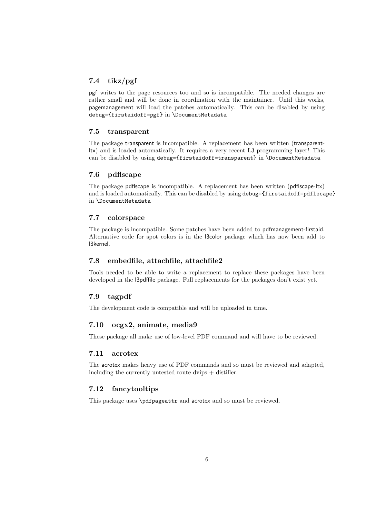# <span id="page-5-0"></span>**7.4 tikz/pgf**

pgf writes to the page resources too and so is incompatible. The needed changes are rather small and will be done in coordination with the maintainer. Until this works, pagemanagement will load the patches automatically. This can be disabled by using debug={firstaidoff=pgf} in \DocumentMetadata

#### **7.5 transparent**

The package transparent is incompatible. A replacement has been written (transparentltx) and is loaded automatically. It requires a very recent L3 programming layer! This can be disabled by using debug={firstaidoff=transparent} in \DocumentMetadata

#### **7.6 pdflscape**

The package pdflscape is incompatible. A replacement has been written (pdflscape-ltx) and is loaded automatically. This can be disabled by using debug={firstaidoff=pdflscape} in \DocumentMetadata

#### **7.7 colorspace**

The package is incompatible. Some patches have been added to pdfmanagement-firstaid. Alternative code for spot colors is in the l3color package which has now been add to l3kernel.

#### **7.8 embedfile, attachfile, attachfile2**

Tools needed to be able to write a replacement to replace these packages have been developed in the l3pdffile package. Full replacements for the packages don't exist yet.

#### **7.9 tagpdf**

The development code is compatible and will be uploaded in time.

#### **7.10 ocgx2, animate, media9**

These package all make use of low-level PDF command and will have to be reviewed.

### **7.11 acrotex**

The acrotex makes heavy use of PDF commands and so must be reviewed and adapted, including the currently untested route dvips + distiller.

## **7.12 fancytooltips**

This package uses \pdfpageattr and acrotex and so must be reviewed.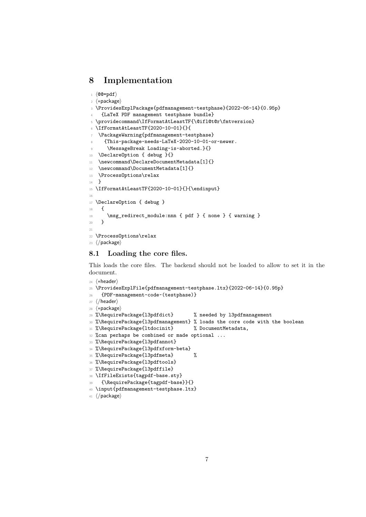# **8 Implementation**

```
1 ⟨@@=pdf⟩
2 ⟨∗package⟩
_3 \ProvidesExplPackage{pdfmanagement-testphase}{2022-06-14}{0.95p}
    4 {LaTeX PDF management testphase bundle}
5 \providecommand\IfFormatAtLeastTF{\@ifl@t@r\fmtversion}
6 \IfFormatAtLeastTF{2020-10-01}{}{
   \verb+\PackAzp\#arg\{pdfmanagement-testphase\}8 {This~package~needs~LaTeX~2020-10-01~or~newer.
9 \MessageBreak Loading~is~aborted.}{}
10 \DeclareOption { debug }{}
11 \newcommand\DeclareDocumentMetadata[1]{}
12 \newcommand\DocumentMetadata[1]{}
13 \ProcessOptions\relax
14 }
15 \IfFormatAtLeastTF{2020-10-01}{}{\endinput}
16
17 \DeclareOption { debug }
18 \qquad \mathbf{f}19 \msg_redirect_module:nnn { pdf } { none } { warning }
20 }
21
22 \ProcessOptions\relax
23 ⟨/package⟩
```
# <span id="page-6-13"></span><span id="page-6-12"></span><span id="page-6-10"></span><span id="page-6-4"></span><span id="page-6-2"></span>**8.1 Loading the core files.**

This loads the core files. The backend should not be loaded to allow to set it in the document.

```
24 ⟨∗header⟩
```

```
25 \ProvidesExplFile{pdfmanagement-testphase.ltx}{2022-06-14}{0.95p}
26 {PDF~management~code~(testphase)}
```

```
27 ⟨/header⟩
```

```
28 ⟨∗package⟩
```

```
29 %\RequirePackage{l3pdfdict} % needed by l3pdfmanagement
```

```
30 %\RequirePackage{l3pdfmanagement} % loads the core code with the boolean
```

```
31 %\RequirePackage{ltdocinit} % DocumentMetadata,
```

```
32 %can perhaps be combined or made optional ...
```

```
33 %\RequirePackage{l3pdfannot}
```

```
34 %\RequirePackage{l3pdfxform-beta}
```

```
35 %\RequirePackage{l3pdfmeta} %
```

```
36 %\RequirePackage{l3pdftools}
```

```
37 %\RequirePackage{l3pdffile}
```

```
38 \IfFileExists{tagpdf-base.sty}
```

```
39 {\RequirePackage{tagpdf-base}}{}
```

```
40 \input{pdfmanagement-testphase.ltx}
```

```
41 ⟨/package⟩
```